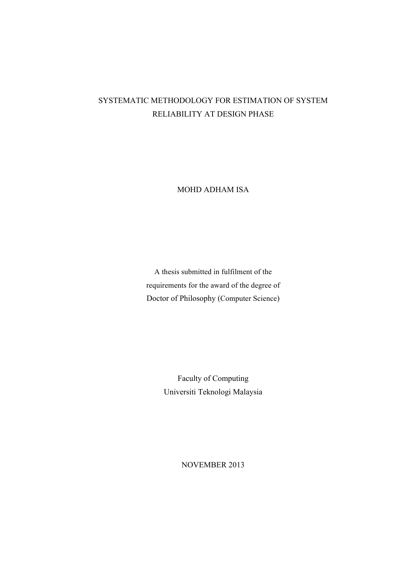## SYSTEMATIC METHODOLOGY FOR ESTIMATION OF SYSTEM RELIABILITY AT DESIGN PHASE

MOHD ADHAM ISA

A thesis submitted in fulfilment of the requirements for the award of the degree of Doctor of Philosophy (Computer Science)

> Faculty of Computing Universiti Teknologi Malaysia

> > NOVEMBER 2013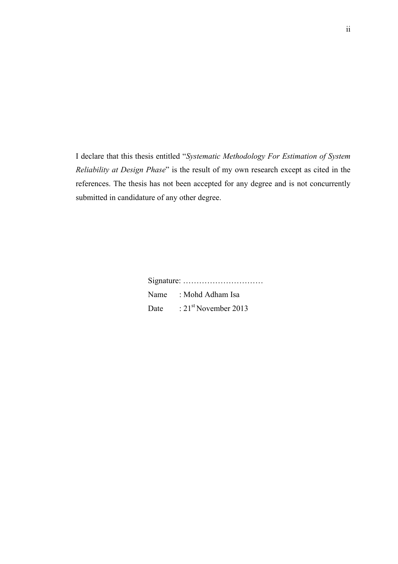I declare that this thesis entitled "*Systematic Methodology For Estimation of System Reliability at Design Phase*" is the result of my own research except as cited in the references. The thesis has not been accepted for any degree and is not concurrently submitted in candidature of any other degree.

> Signature: ………………………… Name : Mohd Adham Isa Date : 21<sup>st</sup> November 2013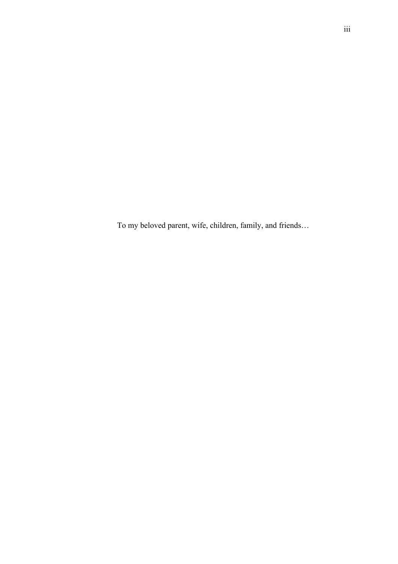To my beloved parent, wife, children, family, and friends…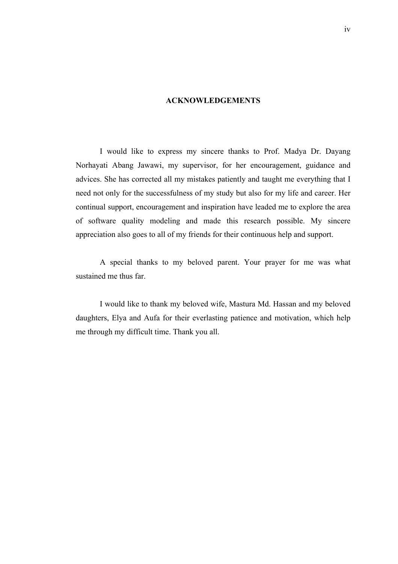### **ACKNOWLEDGEMENTS**

I would like to express my sincere thanks to Prof. Madya Dr. Dayang Norhayati Abang Jawawi, my supervisor, for her encouragement, guidance and advices. She has corrected all my mistakes patiently and taught me everything that I need not only for the successfulness of my study but also for my life and career. Her continual support, encouragement and inspiration have leaded me to explore the area of software quality modeling and made this research possible. My sincere appreciation also goes to all of my friends for their continuous help and support.

A special thanks to my beloved parent. Your prayer for me was what sustained me thus far.

I would like to thank my beloved wife, Mastura Md. Hassan and my beloved daughters, Elya and Aufa for their everlasting patience and motivation, which help me through my difficult time. Thank you all.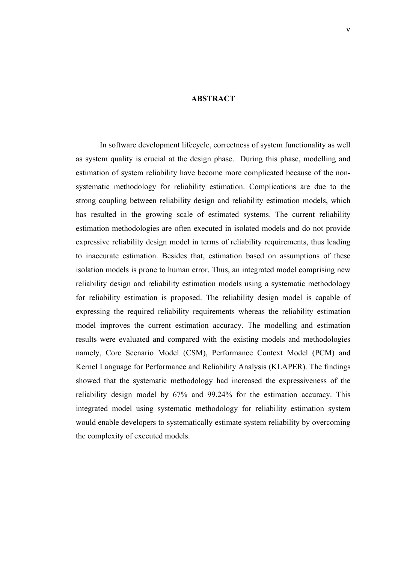### **ABSTRACT**

In software development lifecycle, correctness of system functionality as well as system quality is crucial at the design phase. During this phase, modelling and estimation of system reliability have become more complicated because of the nonsystematic methodology for reliability estimation. Complications are due to the strong coupling between reliability design and reliability estimation models, which has resulted in the growing scale of estimated systems. The current reliability estimation methodologies are often executed in isolated models and do not provide expressive reliability design model in terms of reliability requirements, thus leading to inaccurate estimation. Besides that, estimation based on assumptions of these isolation models is prone to human error. Thus, an integrated model comprising new reliability design and reliability estimation models using a systematic methodology for reliability estimation is proposed. The reliability design model is capable of expressing the required reliability requirements whereas the reliability estimation model improves the current estimation accuracy. The modelling and estimation results were evaluated and compared with the existing models and methodologies namely, Core Scenario Model (CSM), Performance Context Model (PCM) and Kernel Language for Performance and Reliability Analysis (KLAPER). The findings showed that the systematic methodology had increased the expressiveness of the reliability design model by 67% and 99.24% for the estimation accuracy. This integrated model using systematic methodology for reliability estimation system would enable developers to systematically estimate system reliability by overcoming the complexity of executed models.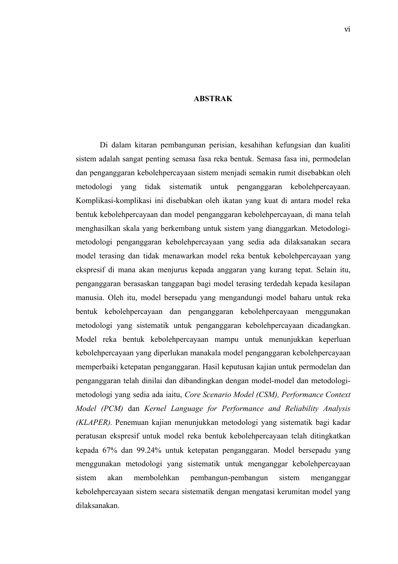### **ABSTRAK**

Di dalam kitaran pembangunan perisian, kesahihan kefungsian dan kualiti sistem adalah sangat penting semasa fasa reka bentuk. Semasa fasa ini, permodelan dan penganggaran kebolehpercayaan sistem menjadi semakin rumit disebabkan oleh metodologi yang tidak sistematik untuk penganggaran kebolehpercayaan. Komplikasi-komplikasi ini disebabkan oleh ikatan yang kuat di antara model reka bentuk kebolehpercayaan dan model penganggaran kebolehpercayaan, di mana telah menghasilkan skala yang berkembang untuk sistem yang dianggarkan. Metodologimetodologi penganggaran kebolehpercayaan yang sedia ada dilaksanakan secara model terasing dan tidak menawarkan model reka bentuk kebolehpercayaan yang ekspresif di mana akan menjurus kepada anggaran yang kurang tepat. Selain itu, penganggaran berasaskan tanggapan bagi model terasing terdedah kepada kesilapan manusia. Oleh itu, model bersepadu yang mengandungi model baharu untuk reka bentuk kebolehpercayaan dan penganggaran kebolehpercayaan menggunakan metodologi yang sistematik untuk penganggaran kebolehpercayaan dicadangkan. Model reka bentuk kebolehpercayaan mampu untuk menunjukkan keperluan kebolehpercayaan yang diperlukan manakala model penganggaran kebolehpercayaan memperbaiki ketepatan penganggaran. Hasil keputusan kajian untuk permodelan dan penganggaran telah dinilai dan dibandingkan dengan model-model dan metodologimetodologi yang sedia ada iaitu, *Core Scenario Model (CSM), Performance Context Model (PCM)* dan *Kernel Language for Performance and Reliability Analysis (KLAPER).* Penemuan kajian menunjukkan metodologi yang sistematik bagi kadar peratusan ekspresif untuk model reka bentuk kebolehpercayaan telah ditingkatkan kepada 67% dan 99.24% untuk ketepatan penganggaran. Model bersepadu yang menggunakan metodologi yang sistematik untuk menganggar kebolehpercayaan sistem akan membolehkan pembangun-pembangun sistem menganggar kebolehpercayaan sistem secara sistematik dengan mengatasi kerumitan model yang dilaksanakan.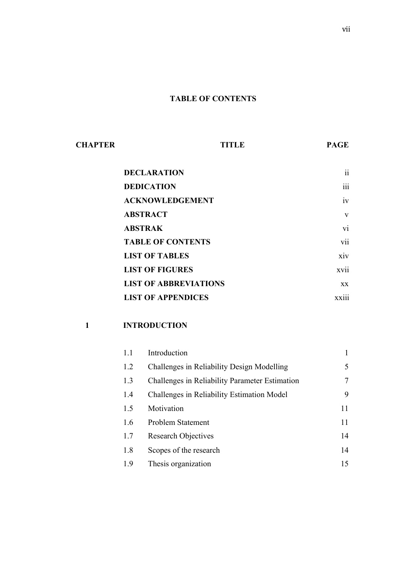### **TABLE OF CONTENTS**

| <b>CHAPTER</b> | <b>TITLE</b>                 | <b>PAGE</b>             |
|----------------|------------------------------|-------------------------|
|                | <b>DECLARATION</b>           | 11                      |
|                | <b>DEDICATION</b>            | $\ddotsc$<br>111        |
|                | <b>ACKNOWLEDGEMENT</b>       | 1V                      |
|                | <b>ABSTRACT</b>              | V                       |
|                | <b>ABSTRAK</b>               | V1                      |
|                | <b>TABLE OF CONTENTS</b>     | <b>V11</b>              |
|                | <b>LIST OF TABLES</b>        | X1V                     |
|                | <b>LIST OF FIGURES</b>       | <b>XV11</b>             |
|                | <b>LIST OF ABBREVIATIONS</b> | $\mathbf{X} \mathbf{X}$ |
|                | <b>LIST OF APPENDICES</b>    | <b>XX111</b>            |

### **1 INTRODUCTION**

| 1.1 | Introduction                                   |    |
|-----|------------------------------------------------|----|
| 1.2 | Challenges in Reliability Design Modelling     | 5  |
| 1.3 | Challenges in Reliability Parameter Estimation | 7  |
| 1.4 | Challenges in Reliability Estimation Model     | 9  |
| 1.5 | Motivation                                     | 11 |
| 1.6 | Problem Statement                              | 11 |
| 1.7 | <b>Research Objectives</b>                     | 14 |
| 1.8 | Scopes of the research                         | 14 |
| 1.9 | Thesis organization                            | 15 |
|     |                                                |    |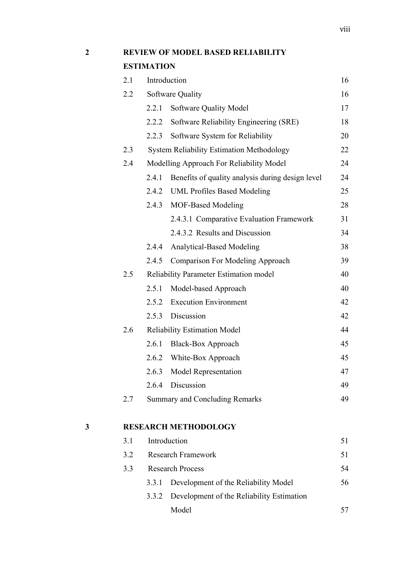### **2 REVIEW OF MODEL BASED RELIABILITY**

### **ESTIMATION**

|   | 2.1 |       | Introduction                                     | 16 |
|---|-----|-------|--------------------------------------------------|----|
|   | 2.2 |       | Software Quality                                 | 16 |
|   |     | 2.2.1 | Software Quality Model                           | 17 |
|   |     | 2.2.2 | Software Reliability Engineering (SRE)           | 18 |
|   |     | 2.2.3 | Software System for Reliability                  | 20 |
|   | 2.3 |       | <b>System Reliability Estimation Methodology</b> | 22 |
|   | 2.4 |       | Modelling Approach For Reliability Model         | 24 |
|   |     | 2.4.1 | Benefits of quality analysis during design level | 24 |
|   |     |       | 2.4.2 UML Profiles Based Modeling                | 25 |
|   |     | 2.4.3 | <b>MOF-Based Modeling</b>                        | 28 |
|   |     |       | 2.4.3.1 Comparative Evaluation Framework         | 31 |
|   |     |       | 2.4.3.2 Results and Discussion                   | 34 |
|   |     | 2.4.4 | <b>Analytical-Based Modeling</b>                 | 38 |
|   |     | 2.4.5 | <b>Comparison For Modeling Approach</b>          | 39 |
|   | 2.5 |       | Reliability Parameter Estimation model           | 40 |
|   |     | 2.5.1 | Model-based Approach                             | 40 |
|   |     | 2.5.2 | <b>Execution Environment</b>                     | 42 |
|   |     | 2.5.3 | Discussion                                       | 42 |
|   | 2.6 |       | <b>Reliability Estimation Model</b>              | 44 |
|   |     | 2.6.1 | <b>Black-Box Approach</b>                        | 45 |
|   |     | 2.6.2 | White-Box Approach                               | 45 |
|   |     | 2.6.3 | Model Representation                             | 47 |
|   |     |       | 2.6.4 Discussion                                 | 49 |
|   | 2.7 |       | <b>Summary and Concluding Remarks</b>            | 49 |
| 3 |     |       | <b>RESEARCH METHODOLOGY</b>                      |    |
|   | 3.1 |       | Introduction                                     | 51 |
|   | 3.2 |       | <b>Research Framework</b>                        | 51 |

| ے . |                         | <u>KUSUALUH TIAHIUWUIK</u>                      |    |
|-----|-------------------------|-------------------------------------------------|----|
| 3.3 | <b>Research Process</b> |                                                 |    |
|     |                         | 3.3.1 Development of the Reliability Model      | 56 |
|     |                         | 3.3.2 Development of the Reliability Estimation |    |
|     |                         | Model                                           |    |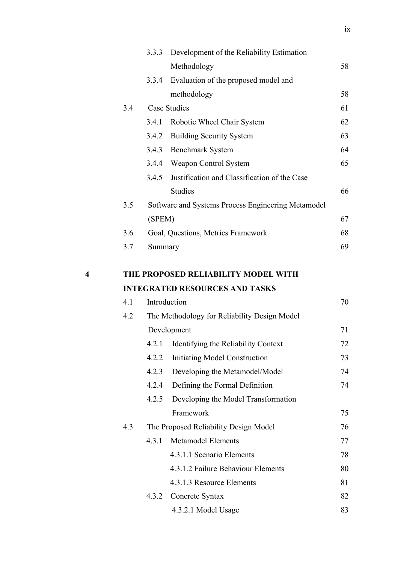|   |     | 3.3.3   | Development of the Reliability Estimation          |    |
|---|-----|---------|----------------------------------------------------|----|
|   |     |         | Methodology                                        | 58 |
|   |     | 3.3.4   | Evaluation of the proposed model and               |    |
|   |     |         | methodology                                        | 58 |
|   | 3.4 |         | <b>Case Studies</b>                                | 61 |
|   |     | 3.4.1   | Robotic Wheel Chair System                         | 62 |
|   |     | 3.4.2   | <b>Building Security System</b>                    | 63 |
|   |     | 3.4.3   | <b>Benchmark System</b>                            | 64 |
|   |     | 3.4.4   | Weapon Control System                              | 65 |
|   |     | 3.4.5   | Justification and Classification of the Case       |    |
|   |     |         | <b>Studies</b>                                     | 66 |
|   | 3.5 |         | Software and Systems Process Engineering Metamodel |    |
|   |     | (SPEM)  |                                                    | 67 |
|   | 3.6 |         | Goal, Questions, Metrics Framework                 | 68 |
|   | 3.7 | Summary |                                                    | 69 |
| 4 |     |         | THE PROPOSED RELIABILITY MODEL WITH                |    |
|   |     |         | <b>INTEGRATED RESOURCES AND TASKS</b>              |    |
|   | 4.1 |         | Introduction                                       | 70 |
|   | 4.2 |         | The Methodology for Reliability Design Model       |    |
|   |     |         | Development                                        | 71 |
|   |     | 4.2.1   | Identifying the Reliability Context                | 72 |
|   |     | 4.2.2   | <b>Initiating Model Construction</b>               | 73 |
|   |     | 4.2.3   | Developing the Metamodel/Model                     | 74 |
|   |     | 4.2.4   | Defining the Formal Definition                     | 74 |
|   |     | 4.2.5   | Developing the Model Transformation                |    |
|   |     |         | Framework                                          | 75 |
|   | 4.3 |         | The Proposed Reliability Design Model              | 76 |
|   |     | 4.3.1   | <b>Metamodel Elements</b>                          | 77 |
|   |     |         | 4.3.1.1 Scenario Elements                          | 78 |
|   |     |         | 4.3.1.2 Failure Behaviour Elements                 | 80 |
|   |     |         | 4.3.1.3 Resource Elements                          | 81 |
|   |     | 4.3.2   | Concrete Syntax                                    | 82 |
|   |     |         | 4.3.2.1 Model Usage                                | 83 |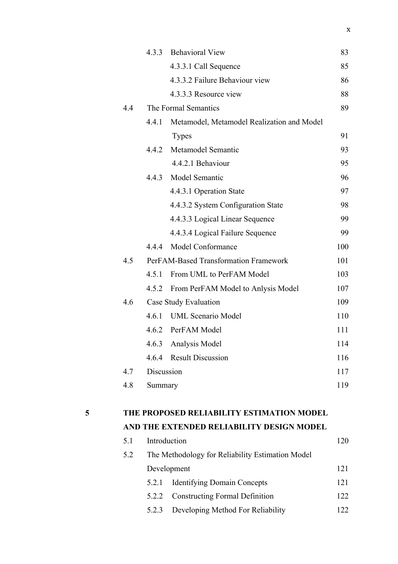|     |            | 4.3.3 Behavioral View                      | 83  |
|-----|------------|--------------------------------------------|-----|
|     |            | 4.3.3.1 Call Sequence                      | 85  |
|     |            | 4.3.3.2 Failure Behaviour view             | 86  |
|     |            | 4.3.3.3 Resource view                      | 88  |
| 4.4 |            | The Formal Semantics                       | 89  |
|     | 4.4.1      | Metamodel, Metamodel Realization and Model |     |
|     |            | <b>Types</b>                               | 91  |
|     | 4.4.2      | Metamodel Semantic                         | 93  |
|     |            | 4.4.2.1 Behaviour                          | 95  |
|     | 4.4.3      | Model Semantic                             | 96  |
|     |            | 4.4.3.1 Operation State                    | 97  |
|     |            | 4.4.3.2 System Configuration State         | 98  |
|     |            | 4.4.3.3 Logical Linear Sequence            | 99  |
|     |            | 4.4.3.4 Logical Failure Sequence           | 99  |
|     | 4.4.4      | Model Conformance                          | 100 |
| 4.5 |            | PerFAM-Based Transformation Framework      | 101 |
|     | 4.5.1      | From UML to PerFAM Model                   | 103 |
|     | 4.5.2      | From PerFAM Model to Anlysis Model         | 107 |
| 4.6 |            | Case Study Evaluation                      | 109 |
|     | 4.6.1      | <b>UML Scenario Model</b>                  | 110 |
|     |            | 4.6.2 PerFAM Model                         | 111 |
|     | 4.6.3      | Analysis Model                             | 114 |
|     |            | 4.6.4 Result Discussion                    | 116 |
| 4.7 | Discussion |                                            | 117 |
| 4.8 | Summary    |                                            | 119 |
|     |            |                                            |     |

# **5 THE PROPOSED RELIABILITY ESTIMATION MODEL**

### **AND THE EXTENDED RELIABILITY DESIGN MODEL**

| 5.1 |                                                  | Introduction                          |     |  |
|-----|--------------------------------------------------|---------------------------------------|-----|--|
| 5.2 | The Methodology for Reliability Estimation Model |                                       |     |  |
|     | Development                                      |                                       |     |  |
|     | 5.2.1                                            | <b>Identifying Domain Concepts</b>    | 121 |  |
|     | 5.2.2                                            | <b>Constructing Formal Definition</b> | 122 |  |
|     | 5.2.3                                            | Developing Method For Reliability     | 22  |  |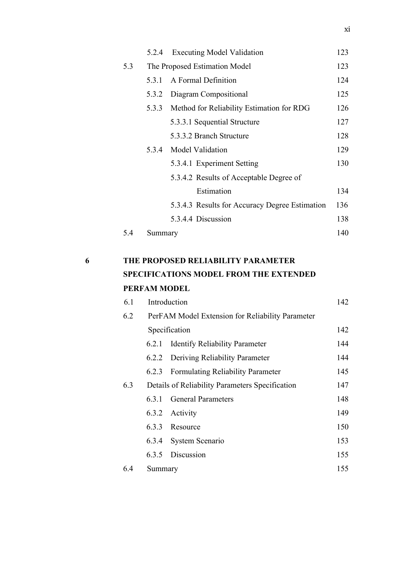|   |     | 5.2.4   | <b>Executing Model Validation</b>              | 123 |
|---|-----|---------|------------------------------------------------|-----|
|   | 5.3 |         | The Proposed Estimation Model                  | 123 |
|   |     | 5.3.1   | A Formal Definition                            | 124 |
|   |     | 5.3.2   | Diagram Compositional                          | 125 |
|   |     | 5.3.3   | Method for Reliability Estimation for RDG      | 126 |
|   |     |         | 5.3.3.1 Sequential Structure                   | 127 |
|   |     |         | 5.3.3.2 Branch Structure                       | 128 |
|   |     | 5.3.4   | Model Validation                               | 129 |
|   |     |         | 5.3.4.1 Experiment Setting                     | 130 |
|   |     |         | 5.3.4.2 Results of Acceptable Degree of        |     |
|   |     |         | Estimation                                     | 134 |
|   |     |         | 5.3.4.3 Results for Accuracy Degree Estimation | 136 |
|   |     |         | 5.3.4.4 Discussion                             | 138 |
|   | 5.4 | Summary |                                                | 140 |
|   |     |         |                                                |     |
| 6 |     |         | THE PROPOSED RELIABILITY PARAMETER             |     |
|   |     |         | <b>SPECIFICATIONS MODEL FROM THE EXTENDED</b>  |     |

# **PERFAM MODEL**

| 6.1 |                                                 | Introduction                                     |     |  |
|-----|-------------------------------------------------|--------------------------------------------------|-----|--|
| 6.2 |                                                 | PerFAM Model Extension for Reliability Parameter |     |  |
|     |                                                 | Specification                                    | 142 |  |
|     | 6.2.1                                           | <b>Identify Reliability Parameter</b>            | 144 |  |
|     | 6.2.2                                           | Deriving Reliability Parameter                   | 144 |  |
|     |                                                 | 6.2.3 Formulating Reliability Parameter          | 145 |  |
| 6.3 | Details of Reliability Parameters Specification |                                                  |     |  |
|     | 6.3.1                                           | <b>General Parameters</b>                        | 148 |  |
|     |                                                 | 6.3.2 Activity                                   | 149 |  |
|     |                                                 | 6.3.3 Resource                                   | 150 |  |
|     | 6.3.4                                           | System Scenario                                  | 153 |  |
|     |                                                 | 6.3.5 Discussion                                 | 155 |  |
| 6.4 | Summary                                         |                                                  | 155 |  |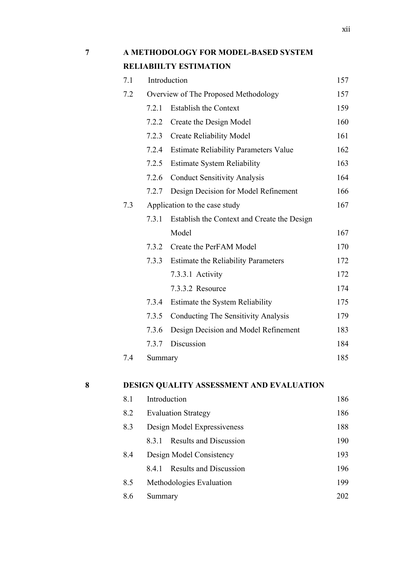xii

| $\overline{7}$ |     | A METHODOLOGY FOR MODEL-BASED SYSTEM<br><b>RELIABIILTY ESTIMATION</b> |                                              |     |  |  |
|----------------|-----|-----------------------------------------------------------------------|----------------------------------------------|-----|--|--|
|                |     |                                                                       |                                              |     |  |  |
|                | 7.1 |                                                                       | Introduction                                 | 157 |  |  |
|                | 7.2 |                                                                       | Overview of The Proposed Methodology         | 157 |  |  |
|                |     | 721                                                                   | <b>Establish the Context</b>                 | 159 |  |  |
|                |     |                                                                       | 7.2.2 Create the Design Model                | 160 |  |  |
|                |     |                                                                       | 7.2.3 Create Reliability Model               | 161 |  |  |
|                |     | 7.2.4                                                                 | <b>Estimate Reliability Parameters Value</b> | 162 |  |  |
|                |     |                                                                       | 7.2.5 Estimate System Reliability            | 163 |  |  |

7.2.6 Conduct Sensitivity Analysis 164

# 7.2.7 Design Decision for Model Refinement 166 7.3 Application to the case study 167 7.3.1 Establish the Context and Create the Design

- Model 167 7.3.2 Create the PerFAM Model 170 7.3.3 Estimate the Reliability Parameters 172 7.3.3.1 Activity 172 7.3.3.2 Resource 174 7.3.4 Estimate the System Reliability 175 7.3.5 Conducting The Sensitivity Analysis 179 7.3.6 Design Decision and Model Refinement 183 7.3.7 Discussion 184 7.4 Summary 185
- 

### **8 DESIGN QUALITY ASSESSMENT AND EVALUATION**

| 8.1 | Introduction                         | 186 |
|-----|--------------------------------------|-----|
| 8.2 | <b>Evaluation Strategy</b>           | 186 |
| 8.3 | Design Model Expressiveness          | 188 |
|     | <b>Results and Discussion</b><br>831 | 190 |
| 8.4 | Design Model Consistency             | 193 |
|     | <b>Results and Discussion</b><br>841 | 196 |
| 8.5 | Methodologies Evaluation             | 199 |
| 8.6 | Summary                              | 202 |